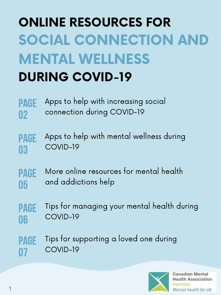# ONLINE RESOURCES FOR SOCIAL CONNECTION AND MENTAL WELLNESS DURING COVID-19

PAGE 02 Apps to help with increasing social connection during COVID-19

page 03 Apps to help with mental wellness during COVID-19

#### page 05 More online resources for mental health and addictions help

1



**Canadian Mental Health Association** Hamilton Mental health for all

#### page 06 Tips for managing your mental health during COVID-19

#### page 07 Tips for supporting a loved one during COVID-19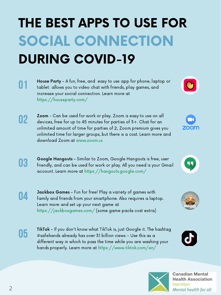# THE BEST APPS TO USE FOR SOCIAL CONNECTION DURING COVID-19

01 House Party - A fun, free, and easy to use app for phone, laptop or tablet: allows you to video chat with friends, play games, and increase your social connection. Learn more at https://houseparty.com/



02

Zoom - Can be used for work or play. Zoom is easy to use on all devices, free for up to 45 minutes for parties of 3+. Chat for an unlimited amount of time for parties of 2; Zoom premium gives you unlimited time for larger groups, but there is a cost. Learn more and download Zoom at www.zoom.us



03

Google Hangouts - Similar to Zoom, Google Hangouts is free, user friendly, and can be used for work or play. All you need is your Gmail account. Learn more at https://hangouts.google.com/

04

Jackbox Games - Fun for free! Play a variety of games with family and friends from your smartphone. Also requires a laptop. Learn more and set up your next game at https://jackboxgames.com/ (some game packs cost extra)

05

TikTok - If you don't know what TikTok is, just Google it. The hashtag #safehands already has over 31 billion views – Use this as a different way in which to pass the time while you are washing your hands properly. Learn more at https://www.tiktok.com/en/







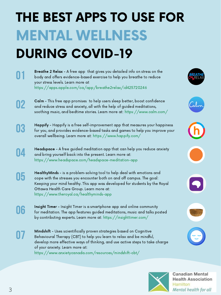## THE BEST APPS TO USE FOR MENTAL WELLNESS DURING COVID-19

02



Headspace - A free guided meditation app that can help you reduce anxiety and bring yourself back into the present. Learn more at: https://www.headspace.com/headspace-meditation-app

01

Breathe 2 Relax - A free app that gives you detailed info on stress on the body and offers evidence-based exercise to help you breathe to reduce your stress levels. Learn more at https://apps.apple.com/ca/app/breathe2relax/id425720246



Calm - This free app promises to help users sleep better, boost confidence and reduce stress and anxiety, all with the help of guided meditations, soothing music, and bedtime stories. Learn more at: https://www.calm.com/



Happify - Happify is a free self-improvement app that measures your happiness for you, and provides evidence-based tasks and games to help you improve your overall wellbeing. Learn more at: https://www.happify.com/









HealthyMinds - is a problem-solving tool to help deal with emotions and cope with the stresses you encounter both on and off campus. The goal: Keeping your mind healthy. This app was developed for students by the Royal Ottawa Health Care Group. Learn more at: https://www.theroyal.ca/healthyminds-app

Insight Timer - Insight Timer is a smartphone app and online community for meditation. The app features guided meditations, music and talks posted by contributing experts. Learn more at: https://insighttimer.com/



Mindshift - Uses scientifically proven strategies based on Cognitive Behavioural Therapy (CBT) to help you learn to relax and be mindful, develop more effective ways of thinking, and use active steps to take charge of your anxiety. Learn more at: https://www.anxietycanada.com/resources/mindshift-cbt/



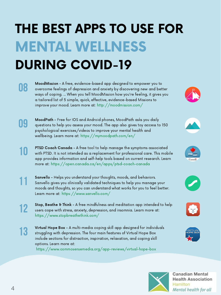12

Stop, Beathe & Think - A free mindfulness and meditation app intended to help users cope with stress, anxiety, depression, and insomnia. Learn more at: https://www.stopbreathethink.com/



PTSD Coach Canada - A free tool to help manage the symptoms associated with PTSD. It is not intended as a replacement for professional care. This mobile app provides information and self-help tools based on current research. Learn more at: https://open.canada.ca/en/apps/ptsd-coach-canada

13

Virtual Hope Box - A multi-media coping skill app designed for individuals struggling with depression. The four main features of Virtual Hope Box include sections for distraction, inspiration, relaxation, and coping skill options. Learn more at: https://www.commosensemedia.org/app-reviews/virtual-hope-box

Sanvello - Helps you understand your thoughts, moods, and behaviors.

Sanvello gives you clinically validated techniques to help you manage your

moods and thoughts, so you can understand what works for you to feel better.

Learn more at: https://www.sanvello.com/











**Canadian Mental Health Association** Hamilton Mental health for all

MoodPath - Free for IOS and Android phones, MoodPath asks you daily questions to help you assess your mood. The app also gives toy access to 150 psychological exercises/videos to improve your mental health and wellbeing. Learn more at: https://mymoodpath.com/en/



08

MoodMission - A free, evidence-based app designed to empower you to overcome feelings of depression and anxiety by discovering new and better ways of coping. ... When you tell MoodMission how you're feeling, it gives you a tailored list of 5 simple, quick, effective, evidence-based Missions to improve your mood. Learn more at: http://moodmission.com/



11

# THE BEST APPS TO USE FOR MENTAL WELLNESS DURING COVID-19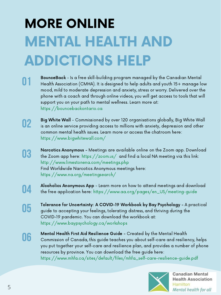# MORE ONLINE MENTAL HEALTH AND ADDICTIONS HELP

01 BounceBack - Is a free skill-building program managed by the Canadian Mental Health Association (CMHA). It is designed to help adults and youth 15+ manage low mood, mild to moderate depression and anxiety, stress or worry. Delivered over the phone with a coach and through online videos, you will get access to tools that will support you on your path to mental wellness. Learn more at: https://bouncebackontario.ca

02

Big White Wall - Commissioned by over 120 organisations globally, Big White Wall is an online service providing access to millions with anxiety, depression and other common mental health issues. Learn more or access the chatroom here: https://www.bigwhitewall.com/

- Narcotics Anonymous Meetings are available online on the Zoom app. Download
- 03 the Zoom app here: https://zoom.us/ and find a local NA meeting via this link: http://www.limestonena.com/meetings.php Find Worldwide Narcotics Anonymous meetings here: https://www.na.org/meetingsearch/
- 04

Alcoholics Anonymous App - Learn more on how to attend meetings and download the free application here: https://www.aa.org/pages/en\_US/meeting-guide

- 05
- Tolerance for Uncertainty: A COVID-19 Workbook by Bay Psychology A practical guide to accepting your feelings, tolerating distress, and thriving during the COVID-19 pandemic. You can download the workbook at: https://www.baypsychology.ca/workshops
- 06

Mental Health First Aid Resilience Guide - Created by the Mental Health Commission of Canada, this guide teaches you about self-care and resiliency, helps you put together your self-care and resilience plan, and provides a number of phone resources by province. You can download the free guide here: https://www.mhfa.ca/sites/default/files/mhfa\_self-care-resilience-guide.pdf

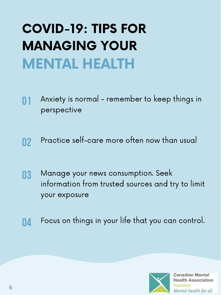### COVID-19: TIPS FOR MANAGING YOUR MENTAL HEALTH

01 Anxiety is normal - remember to keep things in perspective

03 Manage your news consumption. Seek information from trusted sources and try to limit your exposure

02 Practice self-care more often now than usual

04 Focus on things in your life that you can control.